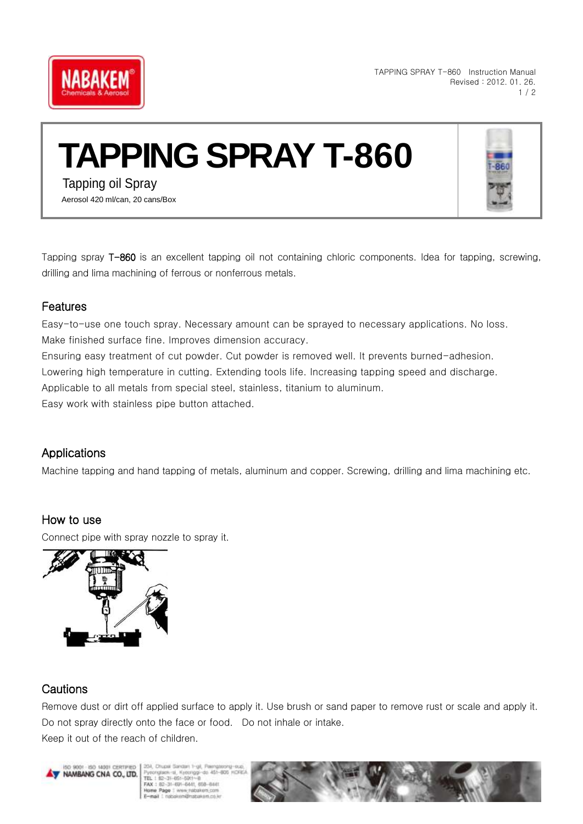

TAPPING SPRAY T-860 Instruction Manual Revised : 2012. 01. 26. 1 / 2

# **TAPPING SPRAY T-860**



Tapping spray T-860 is an excellent tapping oil not containing chloric components. Idea for tapping, screwing, drilling and lima machining of ferrous or nonferrous metals.

#### Features

Easy-to-use one touch spray. Necessary amount can be sprayed to necessary applications. No loss. Make finished surface fine. Improves dimension accuracy.

Ensuring easy treatment of cut powder. Cut powder is removed well. It prevents burned-adhesion.

Lowering high temperature in cutting. Extending tools life. Increasing tapping speed and discharge.

Applicable to all metals from special steel, stainless, titanium to aluminum.

Easy work with stainless pipe button attached.

### Applications

Machine tapping and hand tapping of metals, aluminum and copper. Screwing, drilling and lima machining etc.

## How to use

Connect pipe with spray nozzle to spray it.



## **Cautions**

Remove dust or dirt off applied surface to apply it. Use brush or sand paper to remove rust or scale and apply it. Do not spray directly onto the face or food. Do not inhale or intake. Keep it out of the reach of children.

W NAMBANG CNA CO., LTD.

Kyocriggi-do 451-805 TEL 1 82-31-651-5911-8<br>FAX : 82-31-691-6441, 658-6441